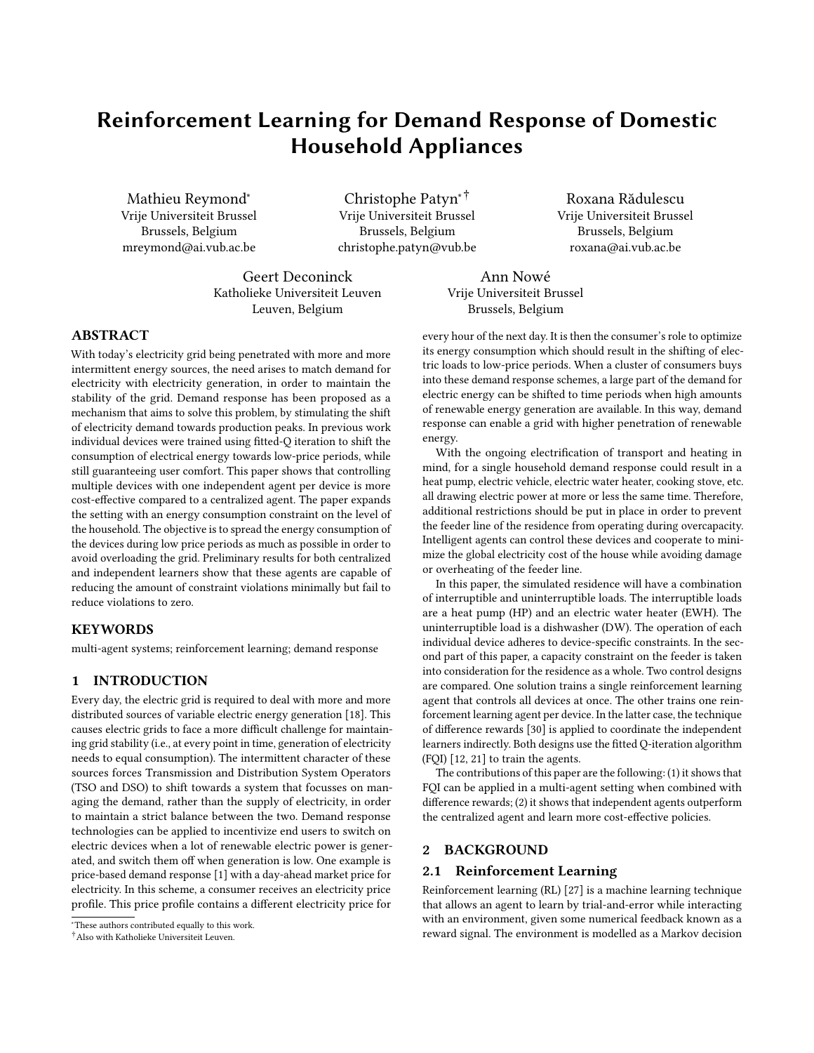# Reinforcement Learning for Demand Response of Domestic Household Appliances

Mathieu Reymond<sup>∗</sup> Vrije Universiteit Brussel Brussels, Belgium mreymond@ai.vub.ac.be

Christophe Patyn∗† Vrije Universiteit Brussel Brussels, Belgium christophe.patyn@vub.be

Roxana Rădulescu Vrije Universiteit Brussel Brussels, Belgium roxana@ai.vub.ac.be

Geert Deconinck Katholieke Universiteit Leuven Leuven, Belgium

Ann Nowé Vrije Universiteit Brussel Brussels, Belgium

# ABSTRACT

With today's electricity grid being penetrated with more and more intermittent energy sources, the need arises to match demand for electricity with electricity generation, in order to maintain the stability of the grid. Demand response has been proposed as a mechanism that aims to solve this problem, by stimulating the shift of electricity demand towards production peaks. In previous work individual devices were trained using fitted-Q iteration to shift the consumption of electrical energy towards low-price periods, while still guaranteeing user comfort. This paper shows that controlling multiple devices with one independent agent per device is more cost-effective compared to a centralized agent. The paper expands the setting with an energy consumption constraint on the level of the household. The objective is to spread the energy consumption of the devices during low price periods as much as possible in order to avoid overloading the grid. Preliminary results for both centralized and independent learners show that these agents are capable of reducing the amount of constraint violations minimally but fail to reduce violations to zero.

# **KEYWORDS**

multi-agent systems; reinforcement learning; demand response

# 1 INTRODUCTION

Every day, the electric grid is required to deal with more and more distributed sources of variable electric energy generation [\[18\]](#page-6-0). This causes electric grids to face a more difficult challenge for maintaining grid stability (i.e., at every point in time, generation of electricity needs to equal consumption). The intermittent character of these sources forces Transmission and Distribution System Operators (TSO and DSO) to shift towards a system that focusses on managing the demand, rather than the supply of electricity, in order to maintain a strict balance between the two. Demand response technologies can be applied to incentivize end users to switch on electric devices when a lot of renewable electric power is generated, and switch them off when generation is low. One example is price-based demand response [\[1\]](#page-5-0) with a day-ahead market price for electricity. In this scheme, a consumer receives an electricity price profile. This price profile contains a different electricity price for

every hour of the next day. It is then the consumer's role to optimize its energy consumption which should result in the shifting of electric loads to low-price periods. When a cluster of consumers buys into these demand response schemes, a large part of the demand for electric energy can be shifted to time periods when high amounts of renewable energy generation are available. In this way, demand response can enable a grid with higher penetration of renewable energy.

With the ongoing electrification of transport and heating in mind, for a single household demand response could result in a heat pump, electric vehicle, electric water heater, cooking stove, etc. all drawing electric power at more or less the same time. Therefore, additional restrictions should be put in place in order to prevent the feeder line of the residence from operating during overcapacity. Intelligent agents can control these devices and cooperate to minimize the global electricity cost of the house while avoiding damage or overheating of the feeder line.

In this paper, the simulated residence will have a combination of interruptible and uninterruptible loads. The interruptible loads are a heat pump (HP) and an electric water heater (EWH). The uninterruptible load is a dishwasher (DW). The operation of each individual device adheres to device-specific constraints. In the second part of this paper, a capacity constraint on the feeder is taken into consideration for the residence as a whole. Two control designs are compared. One solution trains a single reinforcement learning agent that controls all devices at once. The other trains one reinforcement learning agent per device. In the latter case, the technique of difference rewards [\[30\]](#page-6-1) is applied to coordinate the independent learners indirectly. Both designs use the fitted Q-iteration algorithm (FQI) [\[12,](#page-5-1) [21\]](#page-6-2) to train the agents.

The contributions of this paper are the following: (1) it shows that FQI can be applied in a multi-agent setting when combined with difference rewards; (2) it shows that independent agents outperform the centralized agent and learn more cost-effective policies.

# 2 BACKGROUND

## <span id="page-0-0"></span>2.1 Reinforcement Learning

Reinforcement learning (RL) [\[27\]](#page-6-3) is a machine learning technique that allows an agent to learn by trial-and-error while interacting with an environment, given some numerical feedback known as a reward signal. The environment is modelled as a Markov decision

<sup>∗</sup>These authors contributed equally to this work.

<sup>†</sup>Also with Katholieke Universiteit Leuven.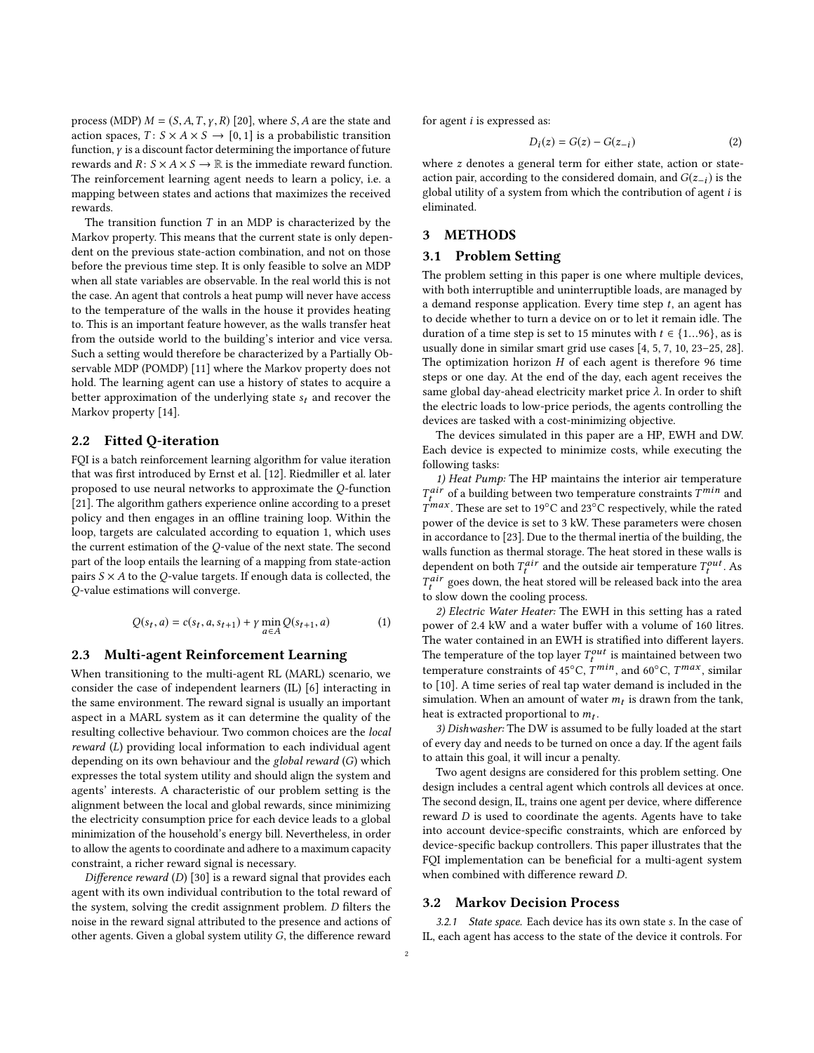process (MDP)  $M = (S, A, T, \gamma, R)$  [\[20\]](#page-6-4), where S, A are the state and action spaces,  $T: S \times A \times S \rightarrow [0, 1]$  is a probabilistic transition function, γ is a discount factor determining the importance of future rewards and  $R: S \times A \times S \rightarrow \mathbb{R}$  is the immediate reward function. The reinforcement learning agent needs to learn a policy, i.e. a mapping between states and actions that maximizes the received rewards.

The transition function  $T$  in an MDP is characterized by the Markov property. This means that the current state is only dependent on the previous state-action combination, and not on those before the previous time step. It is only feasible to solve an MDP when all state variables are observable. In the real world this is not the case. An agent that controls a heat pump will never have access to the temperature of the walls in the house it provides heating to. This is an important feature however, as the walls transfer heat from the outside world to the building's interior and vice versa. Such a setting would therefore be characterized by a Partially Observable MDP (POMDP) [\[11\]](#page-5-2) where the Markov property does not hold. The learning agent can use a history of states to acquire a better approximation of the underlying state  $s_t$  and recover the Markov property [\[14\]](#page-5-3).

## 2.2 Fitted Q-iteration

FQI is a batch reinforcement learning algorithm for value iteration that was first introduced by Ernst et al. [\[12\]](#page-5-1). Riedmiller et al. later proposed to use neural networks to approximate the Q-function [\[21\]](#page-6-2). The algorithm gathers experience online according to a preset policy and then engages in an offline training loop. Within the loop, targets are calculated according to equation [1,](#page-1-0) which uses the current estimation of the Q-value of the next state. The second part of the loop entails the learning of a mapping from state-action pairs  $S \times A$  to the Q-value targets. If enough data is collected, the Q-value estimations will converge.

<span id="page-1-0"></span>
$$
Q(s_t, a) = c(s_t, a, s_{t+1}) + \gamma \min_{a \in A} Q(s_{t+1}, a)
$$
 (1)

# 2.3 Multi-agent Reinforcement Learning

When transitioning to the multi-agent RL (MARL) scenario, we consider the case of independent learners (IL) [\[6\]](#page-5-4) interacting in the same environment. The reward signal is usually an important aspect in a MARL system as it can determine the quality of the resulting collective behaviour. Two common choices are the local reward (L) providing local information to each individual agent depending on its own behaviour and the global reward (G) which expresses the total system utility and should align the system and agents' interests. A characteristic of our problem setting is the alignment between the local and global rewards, since minimizing the electricity consumption price for each device leads to a global minimization of the household's energy bill. Nevertheless, in order to allow the agents to coordinate and adhere to a maximum capacity constraint, a richer reward signal is necessary.

Difference reward (D) [\[30\]](#page-6-1) is a reward signal that provides each agent with its own individual contribution to the total reward of the system, solving the credit assignment problem. D filters the noise in the reward signal attributed to the presence and actions of other agents. Given a global system utility G, the difference reward

for agent  $i$  is expressed as:

$$
D_i(z) = G(z) - G(z_{-i})
$$
 (2)

where z denotes a general term for either state, action or stateaction pair, according to the considered domain, and  $G(z_{-i})$  is the global utility of a system from which the contribution of agent i is eliminated.

# 3 METHODS

## 3.1 Problem Setting

The problem setting in this paper is one where multiple devices, with both interruptible and uninterruptible loads, are managed by a demand response application. Every time step  $t$ , an agent has to decide whether to turn a device on or to let it remain idle. The duration of a time step is set to 15 minutes with  $t \in \{1...96\}$ , as is usually done in similar smart grid use cases [\[4,](#page-5-5) [5,](#page-5-6) [7,](#page-5-7) [10,](#page-5-8) [23–](#page-6-5)[25,](#page-6-6) [28\]](#page-6-7). The optimization horizon  $H$  of each agent is therefore 96 time steps or one day. At the end of the day, each agent receives the same global day-ahead electricity market price  $\lambda$ . In order to shift the electric loads to low-price periods, the agents controlling the devices are tasked with a cost-minimizing objective.

The devices simulated in this paper are a HP, EWH and DW. Each device is expected to minimize costs, while executing the following tasks:

1) Heat Pump: The HP maintains the interior air temperature  $T^{max}$ . These are set to 19°C and 23°C respectively, while the rated  $\int_{\mu}^{air}$  of a building between two temperature constraints  $T^{min}$  and  $\int_{\mu}^{max}$  . These are set to 19°C and 23°C respectively, while the rated power of the device is set to 3 kW. These parameters were chosen in accordance to [\[23\]](#page-6-5). Due to the thermal inertia of the building, the walls function as thermal storage. The heat stored in these walls is dependent on both  $T_t^{air}$  and the outside air temperature  $T_t^{out}$ . As<br> $T^{air}$  goes down the bost stored will be released bosh into the area  $\mathcal{F}_t^{air}$  goes down, the heat stored will be released back into the area  $\frac{t}{t}$  to slow down the cooling process.

2) Electric Water Heater: The EWH in this setting has a rated power of 2.4 kW and a water buffer with a volume of 160 litres. The water contained in an EWH is stratified into different layers. The temperature of the top layer  $T_t^{out}$  is maintained between two<br>temperature constraints of 45°C  $T^{min}$  and 60°C  $T^{max}$  similar temperature constraints of 45°C,  $\overline{T}^{min}$ , and 60°C,  $\overline{T}^{max}$ , similar<br>to [10]. A time series of real tap water demand is included in the to [\[10\]](#page-5-8). A time series of real tap water demand is included in the simulation. When an amount of water  $m_t$  is drawn from the tank,<br>heat is extracted proportional to  $m_t$ . heat is extracted proportional to  $m_t$ .<br>3) Dishwasher: The DW is assumed

3) Dishwasher: The DW is assumed to be fully loaded at the start of every day and needs to be turned on once a day. If the agent fails to attain this goal, it will incur a penalty.

Two agent designs are considered for this problem setting. One design includes a central agent which controls all devices at once. The second design, IL, trains one agent per device, where difference reward D is used to coordinate the agents. Agents have to take into account device-specific constraints, which are enforced by device-specific backup controllers. This paper illustrates that the FQI implementation can be beneficial for a multi-agent system when combined with difference reward D.

#### <span id="page-1-1"></span>3.2 Markov Decision Process

3.2.1 State space. Each device has its own state s. In the case of IL, each agent has access to the state of the device it controls. For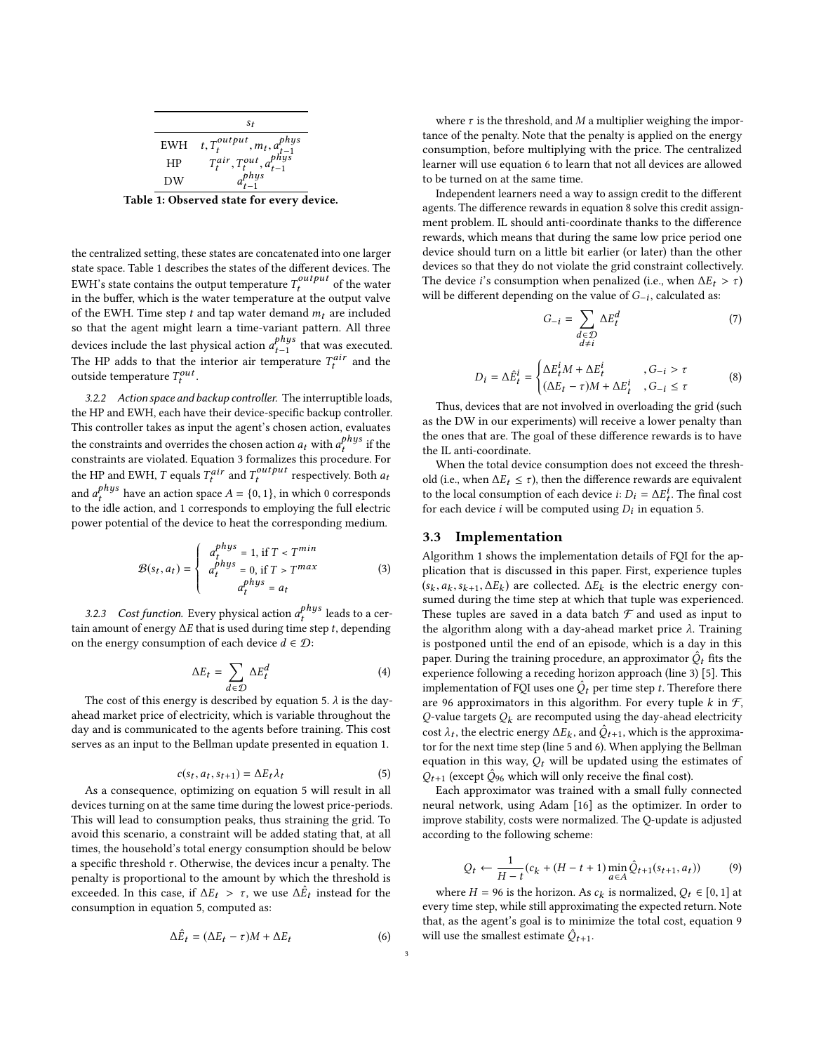<span id="page-2-0"></span>

|  | S+                                                                                                                                                                   |
|--|----------------------------------------------------------------------------------------------------------------------------------------------------------------------|
|  |                                                                                                                                                                      |
|  |                                                                                                                                                                      |
|  | $\begin{array}{lll} \text{EWH} & t, T^{output}_t, m_t, a^{phys}_{t-1} \\ \text{HP} & T^{air}_t, T^{out}_t, a^{phys}_{t-1} \\ \text{DW} & a^{phys}_{t-1} \end{array}$ |
|  | Table 1: Observed state for every device.                                                                                                                            |

the centralized setting, these states are concatenated into one larger state space. Table [1](#page-2-0) describes the states of the different devices. The EWH's state contains the output temperature  $T_t^{output}$  of the water<br>in the buffer which is the water temperature at the output value in the buffer, which is the water temperature at the output valve of the EWH. Time step  $t$  and tap water demand  $m_t$  are included so that the agent might learn a time-variant pattern. All three devices include the last physical action  $a_{t-1}^{p\mu}$  that was executed.<br>The UP adds to that the interior air temperature  $T^{dir}$  and the the HP adds to that the interior air temperature  $T_t^{air}$  and the outside temperature  $T^{out}$ outside temperature  $T_t^{out}$ .

3.2.2 Action space and backup controller. The interruptible loads, the HP and EWH, each have their device-specific backup controller. This controller takes as input the agent's chosen action, evaluates the constraints and overrides the chosen action  $a_t$  with  $a_t^{png_s}$  if the constraints are violated. Fourtion 3 formalizes this procedure, For constraints are violated. Equation [3](#page-2-1) formalizes this procedure. For the HP and EWH, T equals  $T_t^{air}$  and  $T_t^{output}$  respectively. Both  $a_t$ and  $a_t^{phys}$  have an action space  $A = \{0, 1\}$ , in which 0 corresponds to the idle action and 1 corresponds to employing the full electric t to the idle action, and 1 corresponds to employing the full electric power potential of the device to heat the corresponding medium.

<span id="page-2-1"></span>
$$
\mathcal{B}(s_t, a_t) = \begin{cases} a_t^{phys} = 1, \text{ if } T < T^{min} \\ a_t^{phys} = 0, \text{ if } T > T^{max} \\ a_t^{phys} = a_t \end{cases} \tag{3}
$$

3.2.3 Cost function. Every physical action  $a_t^{p\mu y}$  leads to a cer-<br>n amount of energy AE that is used during time step to depending tain amount of energy  $\Delta E$  that is used during time step t, depending<br>on the energy consumption of each device  $d \in \mathcal{D}$ . on the energy consumption of each device  $d \in \mathcal{D}$ :

$$
\Delta E_t = \sum_{d \in \mathcal{D}} \Delta E_t^d
$$
 (4)

The cost of this energy is described by equation [5.](#page-2-2)  $\lambda$  is the day-<br>and market price of electricity, which is variable throughout the ahead market price of electricity, which is variable throughout the day and is communicated to the agents before training. This cost serves as an input to the Bellman update presented in equation [1.](#page-1-0)

<span id="page-2-2"></span>
$$
c(s_t, a_t, s_{t+1}) = \Delta E_t \lambda_t \tag{5}
$$

 $c(s_t, a_t, s_{t+1}) = \Delta E_t \lambda_t$  (5)<br>As a consequence, optimizing on equation [5](#page-2-2) will result in all devices turning on at the same time during the lowest price-periods. This will lead to consumption peaks, thus straining the grid. To avoid this scenario, a constraint will be added stating that, at all times, the household's total energy consumption should be below a specific threshold  $\tau$ . Otherwise, the devices incur a penalty. The penalty is proportional to the amount by which the threshold is exceeded. In this case, if  $\Delta E_t > \tau$ , we use  $\Delta \hat{E}_t$  instead for the consumption in equation 5, computed as: consumption in equation [5,](#page-2-2) computed as:

<span id="page-2-3"></span>
$$
\Delta \hat{E}_t = (\Delta E_t - \tau)M + \Delta E_t \tag{6}
$$

where  $\tau$  is the threshold, and M a multiplier weighing the importance of the penalty. Note that the penalty is applied on the energy consumption, before multiplying with the price. The centralized learner will use equation [6](#page-2-3) to learn that not all devices are allowed to be turned on at the same time.

Independent learners need a way to assign credit to the different agents. The difference rewards in equation [8](#page-2-4) solve this credit assignment problem. IL should anti-coordinate thanks to the difference rewards, which means that during the same low price period one device should turn on a little bit earlier (or later) than the other devices so that they do not violate the grid constraint collectively. The device *i*'s consumption when penalized (i.e., when  $\Delta E_t > \tau$ ) will be different depending on the value of  $G_{-i}$ , calculated as:

$$
G_{-i} = \sum_{\substack{d \in \mathcal{D} \\ d \neq i}} \Delta E_t^d \tag{7}
$$

<span id="page-2-4"></span>
$$
D_i = \Delta \hat{E}_t^i = \begin{cases} \Delta E_t^i M + \Delta E_t^i, & , G_{-i} > \tau \\ (\Delta E_t - \tau) M + \Delta E_t^i, & , G_{-i} \le \tau \end{cases}
$$
(8)

t Thus, devices that are not involved in overloading the grid (such as the DW in our experiments) will receive a lower penalty than the ones that are. The goal of these difference rewards is to have the IL anti-coordinate.

When the total device consumption does not exceed the threshold (i.e., when  $\Delta E_t \leq \tau$ ), then the difference rewards are equivalent to the local consumption of each device  $i: D_i = \Delta E_i^i$ . The final cost for each device i will be computed using D, in equation 5 for each device *i* will be computed using  $D_i$  in equation [5.](#page-2-2)

#### 3.3 Implementation

Algorithm [1](#page-3-0) shows the implementation details of FQI for the application that is discussed in this paper. First, experience tuples  $(s_k, a_k, s_{k+1}, \Delta E_k)$  are collected.  $\Delta E_k$  is the electric energy con-<br>sumed during the time step at which that tuple was experienced  $(s_k, a_k, s_{k+1}, \Delta E_k)$  are collected.  $\Delta E_k$  is the electric energy consumed during the time step at which that tuple was experienced. These tuples are saved in a data batch  $\mathcal F$  and used as input to the algorithm along with a day-ahead market price  $λ$ . Training is postponed until the end of an episode, which is a day in this paper. During the training procedure, an approximator  $\hat{Q}_t$  fits the experience following a receding borizon approach (line 3) [5]. This experience following a receding horizon approach (line [3\)](#page-3-1) [\[5\]](#page-5-6). This implementation of FQI uses one  $\hat{Q}_t$  per time step t. Therefore there are 96 approximators in this algorithm. For every tuple k in  $\mathcal{F}$ are 96 approximators in this algorithm. For every tuple  $k$  in  $\mathcal{F}$ , Q-value targets  $Q_k$  are recomputed using the day-ahead electricity cost  $\lambda_t$ , the electric energy  $\Delta E_k$ , and  $\hat{Q}_{t+1}$ , which is the approximator for the next time step (line 5 and 6). When applying the Bellman tor for the next time step (line [5](#page-3-2) and [6\)](#page-3-3). When applying the Bellman equation in this way,  $Q_t$  will be updated using the estimates of  $Q_{t+1}$  (except  $\hat{Q}_{96}$  which will only receive the final cost).<br>Fach approximator was trained with a small fully

Each approximator was trained with a small fully connected neural network, using Adam [\[16\]](#page-5-9) as the optimizer. In order to improve stability, costs were normalized. The Q-update is adjusted according to the following scheme:

<span id="page-2-5"></span>
$$
Q_t \leftarrow \frac{1}{H-t}(c_k + (H-t+1)\min_{a \in A} \hat{Q}_{t+1}(s_{t+1}, a_t))
$$
(9)

where  $H = 96$  is the horizon. As  $c_k$  is normalized,  $Q_t \in [0, 1]$  at the synected return Note every time step, while still approximating the expected return. Note that, as the agent's goal is to minimize the total cost, equation [9](#page-2-5) will use the smallest estimate  $\hat{Q}_{t+1}$ .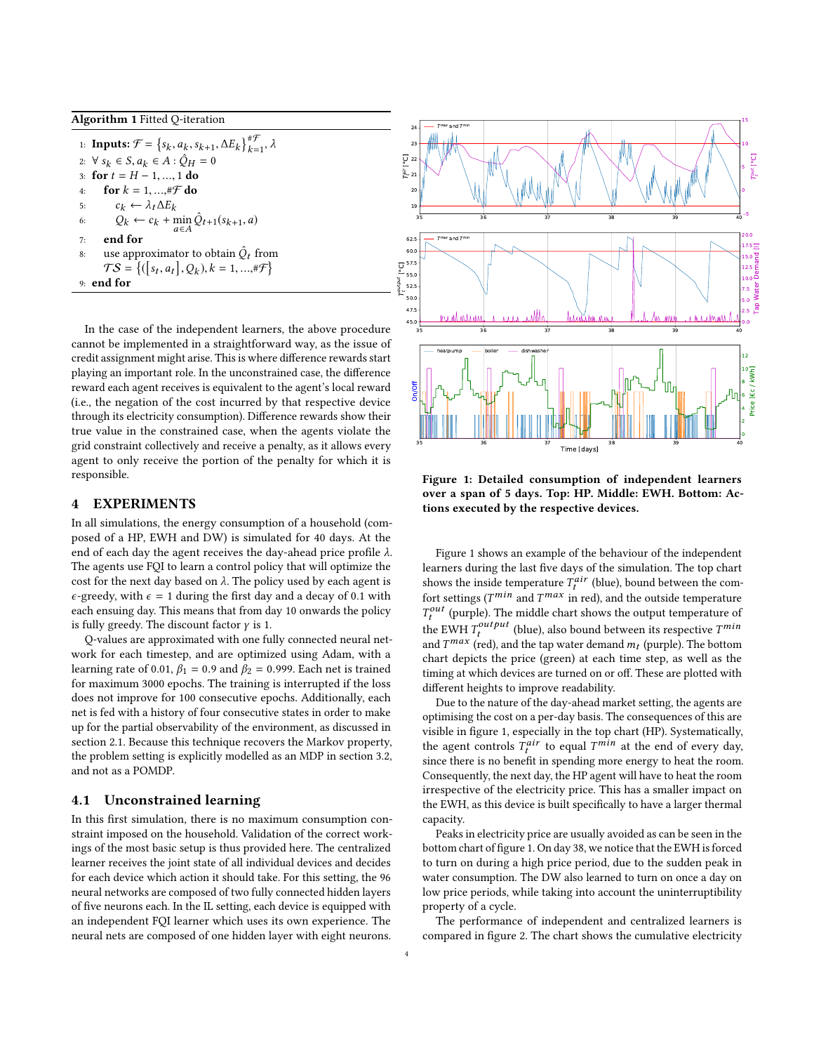#### <span id="page-3-0"></span>Algorithm 1 Fitted Q-iteration

<span id="page-3-3"></span><span id="page-3-2"></span><span id="page-3-1"></span>1: **Inputs:**  $\mathcal{F} = \{s_k, a_k, s_{k+1}, \Delta E_k\}$ 2: ∀ s<sub>k</sub> ∈ S, a<sub>k</sub> ∈ A :  $\hat{Q}_H = 0$ <br>3: for  $t = H - 1$  1 do.  $\big\} _{L}^{\#\mathcal{F}}$  $_{k=1}^{n}$ ,  $\lambda$ 3: for  $t = H - 1, ..., 1$  do<br>4: for  $k = 1, ..., #F$  do 4: **for**  $k = 1, ..., \# \mathcal{F}$  **do**<br>5:  $c_k \leftarrow \lambda_t \Delta E_k$ 5:  $c_k \leftarrow \lambda_t \Delta E_k$ 6:  $Q_k \leftarrow c_k + \min_{a \in A} \hat{Q}_{t+1}(s_{k+1}, a)$ <br>7. **end for** 7: end for 8: use approximator to obtain  $\hat{Q}_t$  from<br>  $TS = \{([\mathbf{s}_t, \mathbf{a}_t], \mathbf{O}_t) | t = 1, \dots, t \in \mathbb{R} \}$  $TS = \{([s_t, a_t], Q_k), k = 1, ..., \# \mathcal{F}\}\$ d for 9: end for

In the case of the independent learners, the above procedure cannot be implemented in a straightforward way, as the issue of credit assignment might arise. This is where difference rewards start playing an important role. In the unconstrained case, the difference reward each agent receives is equivalent to the agent's local reward (i.e., the negation of the cost incurred by that respective device through its electricity consumption). Difference rewards show their true value in the constrained case, when the agents violate the grid constraint collectively and receive a penalty, as it allows every agent to only receive the portion of the penalty for which it is responsible.

# 4 EXPERIMENTS

In all simulations, the energy consumption of a household (composed of a HP, EWH and DW) is simulated for 40 days. At the end of each day the agent receives the day-ahead price profile  $\lambda$ . The agents use FQI to learn a control policy that will optimize the cost for the next day based on  $\lambda$ . The policy used by each agent is  $\epsilon$ -greedy, with  $\epsilon = 1$  during the first day and a decay of 0.1 with each ensuing day. This means that from day 10 onwards the policy is fully greedy. The discount factor  $\gamma$  is 1.

Q-values are approximated with one fully connected neural network for each timestep, and are optimized using Adam, with a learning rate of 0.01,  $\beta_1 = 0.9$  and  $\beta_2 = 0.999$ . Each net is trained for maximum 3000 epochs. The training is interrupted if the loss does not improve for 100 consecutive epochs. Additionally, each net is fed with a history of four consecutive states in order to make up for the partial observability of the environment, as discussed in section [2.1.](#page-0-0) Because this technique recovers the Markov property, the problem setting is explicitly modelled as an MDP in section [3.2,](#page-1-1) and not as a POMDP.

# <span id="page-3-5"></span>4.1 Unconstrained learning

In this first simulation, there is no maximum consumption constraint imposed on the household. Validation of the correct workings of the most basic setup is thus provided here. The centralized learner receives the joint state of all individual devices and decides for each device which action it should take. For this setting, the 96 neural networks are composed of two fully connected hidden layers of five neurons each. In the IL setting, each device is equipped with an independent FQI learner which uses its own experience. The neural nets are composed of one hidden layer with eight neurons.

<span id="page-3-4"></span>

Figure 1: Detailed consumption of independent learners over a span of 5 days. Top: HP. Middle: EWH. Bottom: Actions executed by the respective devices.

Figure [1](#page-3-4) shows an example of the behaviour of the independent learners during the last five days of the simulation. The top chart shows the inside temperature  $T_t^{air}$  (blue), bound between the com-<br>fort esttings ( $T^{min}$  and  $T^{max}$  in red), and the outside temperature fort settings ( $T^{min}$  and  $T^{max}$  in red), and the outside temperature<br> $T^{out}$  (purple). The middle chart shows the output temperature of the EWH  $T_t^{output}$  (blue), also bound between its respective  $T^{min}$ <br>and  $T^{max}$  (red), and the tap water demand m. (purple). The bottom  $_{t}^{out}$  (purple). The middle chart shows the output temperature of and  $T^{max}$  (red), and the tap water demand  $m_t$  (purple). The bottom<br>chart depicts the price (green) at each time step, as well as the chart depicts the price (green) at each time step, as well as the timing at which devices are turned on or off. These are plotted with different heights to improve readability.

Due to the nature of the day-ahead market setting, the agents are optimising the cost on a per-day basis. The consequences of this are visible in figure [1,](#page-3-4) especially in the top chart (HP). Systematically, the agent controls  $T^{air}_{t}$  to equal  $T^{min}$  at the end of every day,<br>since there is no banefit in spanding more energy to heat the room since there is no benefit in spending more energy to heat the room. Consequently, the next day, the HP agent will have to heat the room irrespective of the electricity price. This has a smaller impact on the EWH, as this device is built specifically to have a larger thermal capacity.

Peaks in electricity price are usually avoided as can be seen in the bottom chart of figure [1.](#page-3-4) On day 38, we notice that the EWH is forced to turn on during a high price period, due to the sudden peak in water consumption. The DW also learned to turn on once a day on low price periods, while taking into account the uninterruptibility property of a cycle.

The performance of independent and centralized learners is compared in figure [2.](#page-4-0) The chart shows the cumulative electricity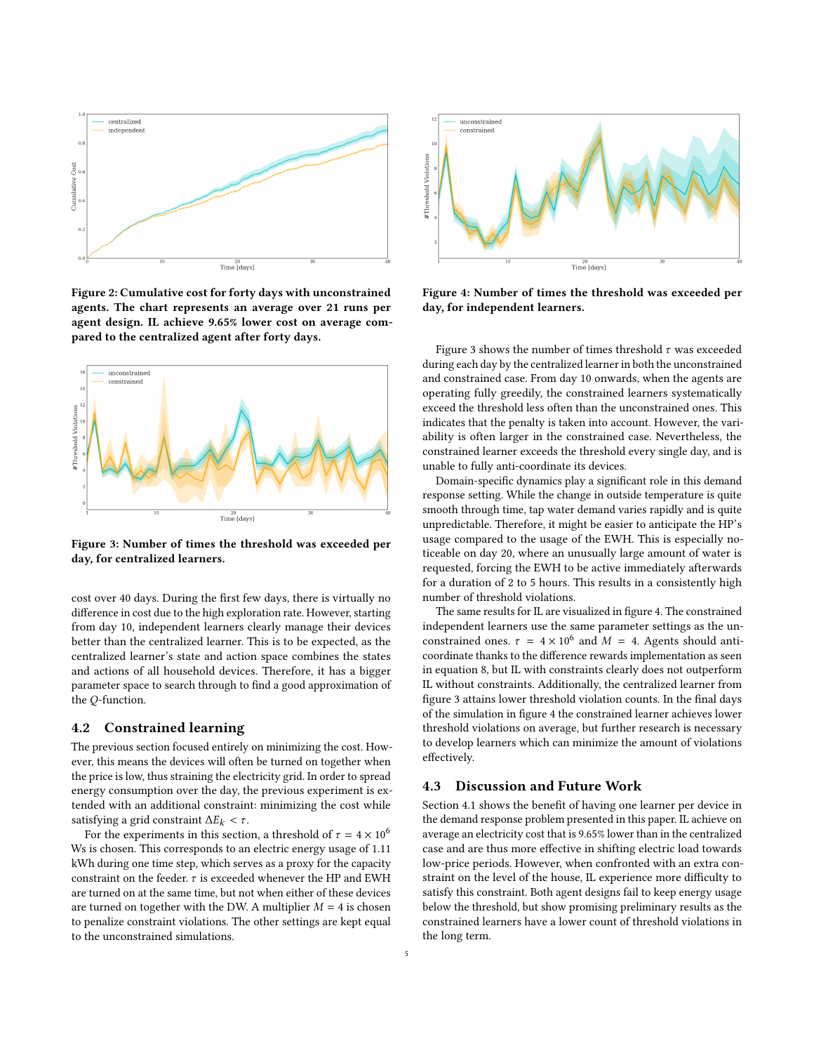<span id="page-4-0"></span>

Figure 2: Cumulative cost for forty days with unconstrained agents. The chart represents an average over 21 runs per agent design. IL achieve 9.65% lower cost on average compared to the centralized agent after forty days.

<span id="page-4-1"></span>

Figure 3: Number of times the threshold was exceeded per day, for centralized learners.

cost over 40 days. During the first few days, there is virtually no difference in cost due to the high exploration rate. However, starting from day 10, independent learners clearly manage their devices better than the centralized learner. This is to be expected, as the centralized learner's state and action space combines the states and actions of all household devices. Therefore, it has a bigger parameter space to search through to find a good approximation of the Q-function.

#### 4.2 Constrained learning

The previous section focused entirely on minimizing the cost. However, this means the devices will often be turned on together when the price is low, thus straining the electricity grid. In order to spread energy consumption over the day, the previous experiment is extended with an additional constraint: minimizing the cost while satisfying a grid constraint  $\Delta E_k < \tau$ .

For the experiments in this section, a threshold of  $\tau = 4 \times 10^6$ Ws is chosen. This corresponds to an electric energy usage of 1.11 kWh during one time step, which serves as a proxy for the capacity constraint on the feeder.  $\tau$  is exceeded whenever the HP and EWH are turned on at the same time, but not when either of these devices are turned on together with the DW. A multiplier  $M = 4$  is chosen to penalize constraint violations. The other settings are kept equal to the unconstrained simulations.

<span id="page-4-2"></span>

Figure 4: Number of times the threshold was exceeded per day, for independent learners.

Figure [3](#page-4-1) shows the number of times threshold  $\tau$  was exceeded during each day by the centralized learner in both the unconstrained and constrained case. From day 10 onwards, when the agents are operating fully greedily, the constrained learners systematically exceed the threshold less often than the unconstrained ones. This indicates that the penalty is taken into account. However, the variability is often larger in the constrained case. Nevertheless, the constrained learner exceeds the threshold every single day, and is unable to fully anti-coordinate its devices.

Domain-specific dynamics play a significant role in this demand response setting. While the change in outside temperature is quite smooth through time, tap water demand varies rapidly and is quite unpredictable. Therefore, it might be easier to anticipate the HP's usage compared to the usage of the EWH. This is especially noticeable on day 20, where an unusually large amount of water is requested, forcing the EWH to be active immediately afterwards for a duration of 2 to 5 hours. This results in a consistently high number of threshold violations.

The same results for IL are visualized in figure [4.](#page-4-2) The constrained independent learners use the same parameter settings as the unconstrained ones.  $\tau = 4 \times 10^6$  and  $M = 4$ . Agents should anti-<br>coordinate thanks to the difference rewards implementation as seen coordinate thanks to the difference rewards implementation as seen in equation [8,](#page-2-4) but IL with constraints clearly does not outperform IL without constraints. Additionally, the centralized learner from figure [3](#page-4-1) attains lower threshold violation counts. In the final days of the simulation in figure [4](#page-4-2) the constrained learner achieves lower threshold violations on average, but further research is necessary to develop learners which can minimize the amount of violations effectively.

## 4.3 Discussion and Future Work

Section [4.1](#page-3-5) shows the benefit of having one learner per device in the demand response problem presented in this paper. IL achieve on average an electricity cost that is 9.65% lower than in the centralized case and are thus more effective in shifting electric load towards low-price periods. However, when confronted with an extra constraint on the level of the house, IL experience more difficulty to satisfy this constraint. Both agent designs fail to keep energy usage below the threshold, but show promising preliminary results as the constrained learners have a lower count of threshold violations in the long term.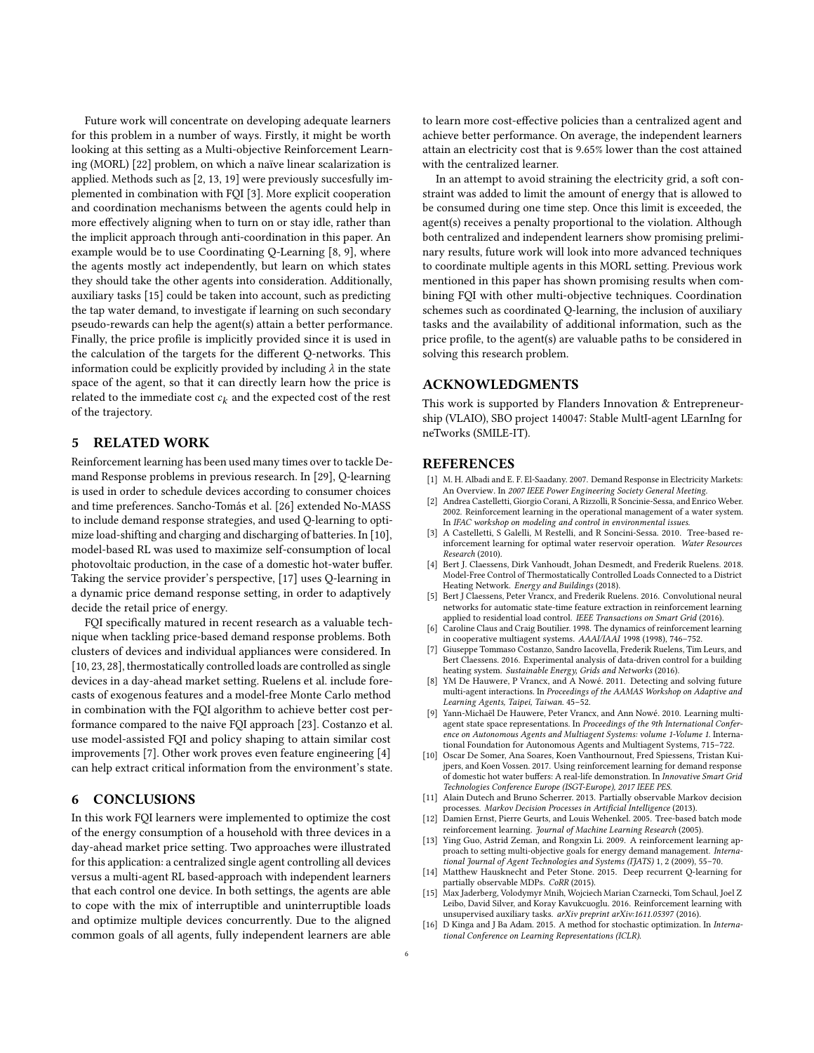Future work will concentrate on developing adequate learners for this problem in a number of ways. Firstly, it might be worth looking at this setting as a Multi-objective Reinforcement Learning (MORL) [\[22\]](#page-6-8) problem, on which a naïve linear scalarization is applied. Methods such as [\[2,](#page-5-10) [13,](#page-5-11) [19\]](#page-6-9) were previously succesfully implemented in combination with FQI [\[3\]](#page-5-12). More explicit cooperation and coordination mechanisms between the agents could help in more effectively aligning when to turn on or stay idle, rather than the implicit approach through anti-coordination in this paper. An example would be to use Coordinating Q-Learning [\[8,](#page-5-13) [9\]](#page-5-14), where the agents mostly act independently, but learn on which states they should take the other agents into consideration. Additionally, auxiliary tasks [\[15\]](#page-5-15) could be taken into account, such as predicting the tap water demand, to investigate if learning on such secondary pseudo-rewards can help the agent(s) attain a better performance. Finally, the price profile is implicitly provided since it is used in the calculation of the targets for the different Q-networks. This information could be explicitly provided by including  $\lambda$  in the state space of the agent, so that it can directly learn how the price is related to the immediate cost  $c_k$  and the expected cost of the rest of the trajectory.

## 5 RELATED WORK

Reinforcement learning has been used many times over to tackle Demand Response problems in previous research. In [\[29\]](#page-6-10), Q-learning is used in order to schedule devices according to consumer choices and time preferences. [Sancho-Tomás et al.](#page-6-11) [\[26\]](#page-6-11) extended No-MASS to include demand response strategies, and used Q-learning to optimize load-shifting and charging and discharging of batteries. In [\[10\]](#page-5-8), model-based RL was used to maximize self-consumption of local photovoltaic production, in the case of a domestic hot-water buffer. Taking the service provider's perspective, [\[17\]](#page-6-12) uses Q-learning in a dynamic price demand response setting, in order to adaptively decide the retail price of energy.

FQI specifically matured in recent research as a valuable technique when tackling price-based demand response problems. Both clusters of devices and individual appliances were considered. In [\[10,](#page-5-8) [23,](#page-6-5) [28\]](#page-6-7), thermostatically controlled loads are controlled as single devices in a day-ahead market setting. [Ruelens et al.](#page-6-5) include forecasts of exogenous features and a model-free Monte Carlo method in combination with the FQI algorithm to achieve better cost performance compared to the naive FQI approach [\[23\]](#page-6-5). [Costanzo et al.](#page-5-7) use model-assisted FQI and policy shaping to attain similar cost improvements [\[7\]](#page-5-7). Other work proves even feature engineering [\[4\]](#page-5-5) can help extract critical information from the environment's state.

# 6 CONCLUSIONS

In this work FQI learners were implemented to optimize the cost of the energy consumption of a household with three devices in a day-ahead market price setting. Two approaches were illustrated for this application: a centralized single agent controlling all devices versus a multi-agent RL based-approach with independent learners that each control one device. In both settings, the agents are able to cope with the mix of interruptible and uninterruptible loads and optimize multiple devices concurrently. Due to the aligned common goals of all agents, fully independent learners are able to learn more cost-effective policies than a centralized agent and achieve better performance. On average, the independent learners attain an electricity cost that is 9.65% lower than the cost attained with the centralized learner.

In an attempt to avoid straining the electricity grid, a soft constraint was added to limit the amount of energy that is allowed to be consumed during one time step. Once this limit is exceeded, the agent(s) receives a penalty proportional to the violation. Although both centralized and independent learners show promising preliminary results, future work will look into more advanced techniques to coordinate multiple agents in this MORL setting. Previous work mentioned in this paper has shown promising results when combining FQI with other multi-objective techniques. Coordination schemes such as coordinated Q-learning, the inclusion of auxiliary tasks and the availability of additional information, such as the price profile, to the agent(s) are valuable paths to be considered in solving this research problem.

#### ACKNOWLEDGMENTS

This work is supported by Flanders Innovation & Entrepreneurship (VLAIO), SBO project 140047: Stable MultI-agent LEarnIng for neTworks (SMILE-IT).

### REFERENCES

- <span id="page-5-0"></span>[1] M. H. Albadi and E. F. El-Saadany. 2007. Demand Response in Electricity Markets: An Overview. In 2007 IEEE Power Engineering Society General Meeting.
- <span id="page-5-10"></span>[2] Andrea Castelletti, Giorgio Corani, A Rizzolli, R Soncinie-Sessa, and Enrico Weber. 2002. Reinforcement learning in the operational management of a water system. In IFAC workshop on modeling and control in environmental issues.
- <span id="page-5-12"></span>A Castelletti, S Galelli, M Restelli, and R Soncini-Sessa. 2010. Tree-based reinforcement learning for optimal water reservoir operation. Water Resources Research (2010).
- <span id="page-5-5"></span>[4] Bert J. Claessens, Dirk Vanhoudt, Johan Desmedt, and Frederik Ruelens. 2018. Model-Free Control of Thermostatically Controlled Loads Connected to a District Heating Network. Energy and Buildings (2018).
- <span id="page-5-6"></span>Bert J Claessens, Peter Vrancx, and Frederik Ruelens. 2016. Convolutional neural networks for automatic state-time feature extraction in reinforcement learning applied to residential load control. IEEE Transactions on Smart Grid (2016).
- <span id="page-5-4"></span>Caroline Claus and Craig Boutilier. 1998. The dynamics of reinforcement learning in cooperative multiagent systems. AAAI/IAAI 1998 (1998), 746–752.
- <span id="page-5-7"></span>[7] Giuseppe Tommaso Costanzo, Sandro Iacovella, Frederik Ruelens, Tim Leurs, and Bert Claessens. 2016. Experimental analysis of data-driven control for a building heating system. Sustainable Energy, Grids and Networks (2016).
- <span id="page-5-13"></span>YM De Hauwere, P Vrancx, and A Nowé. 2011. Detecting and solving future multi-agent interactions. In Proceedings of the AAMAS Workshop on Adaptive and Learning Agents, Taipei, Taiwan. 45–52.
- <span id="page-5-14"></span>[9] Yann-Michaël De Hauwere, Peter Vrancx, and Ann Nowé. 2010. Learning multiagent state space representations. In Proceedings of the 9th International Conference on Autonomous Agents and Multiagent Systems: volume 1-Volume 1. International Foundation for Autonomous Agents and Multiagent Systems, 715–722.
- <span id="page-5-8"></span>[10] Oscar De Somer, Ana Soares, Koen Vanthournout, Fred Spiessens, Tristan Kuijpers, and Koen Vossen. 2017. Using reinforcement learning for demand response of domestic hot water buffers: A real-life demonstration. In Innovative Smart Grid Technologies Conference Europe (ISGT-Europe), 2017 IEEE PES.
- <span id="page-5-2"></span>[11] Alain Dutech and Bruno Scherrer. 2013. Partially observable Markov decision
- <span id="page-5-1"></span>processes. Markov Decision Processes in Artificial Intelligence (2013). [12] Damien Ernst, Pierre Geurts, and Louis Wehenkel. 2005. Tree-based batch mode reinforcement learning. Journal of Machine Learning Research (2005).
- <span id="page-5-11"></span>[13] Ying Guo, Astrid Zeman, and Rongxin Li. 2009. A reinforcement learning approach to setting multi-objective goals for energy demand management. International Journal of Agent Technologies and Systems (IJATS) 1, 2 (2009), 55–70.
- <span id="page-5-3"></span>[14] Matthew Hausknecht and Peter Stone. 2015. Deep recurrent Q-learning for partially observable MDPs. CoRR (2015).
- <span id="page-5-15"></span>[15] Max Jaderberg, Volodymyr Mnih, Wojciech Marian Czarnecki, Tom Schaul, Joel Z Leibo, David Silver, and Koray Kavukcuoglu. 2016. Reinforcement learning with unsupervised auxiliary tasks. arXiv preprint arXiv:1611.05397 (2016).
- <span id="page-5-9"></span>[16] D Kinga and J Ba Adam. 2015. A method for stochastic optimization. In International Conference on Learning Representations (ICLR).